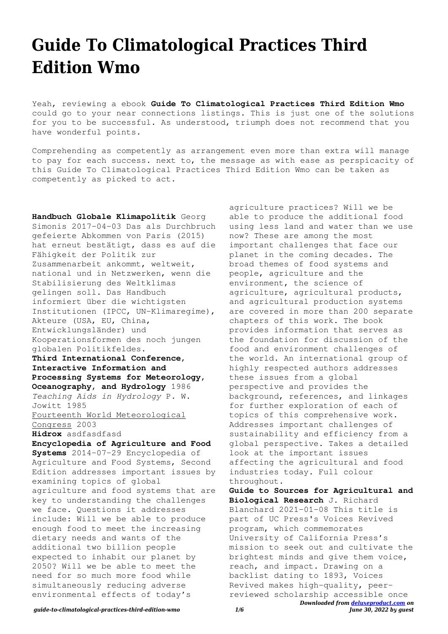# **Guide To Climatological Practices Third Edition Wmo**

Yeah, reviewing a ebook **Guide To Climatological Practices Third Edition Wmo** could go to your near connections listings. This is just one of the solutions for you to be successful. As understood, triumph does not recommend that you have wonderful points.

Comprehending as competently as arrangement even more than extra will manage to pay for each success. next to, the message as with ease as perspicacity of this Guide To Climatological Practices Third Edition Wmo can be taken as competently as picked to act.

**Handbuch Globale Klimapolitik** Georg Simonis 2017-04-03 Das als Durchbruch gefeierte Abkommen von Paris (2015) hat erneut bestätigt, dass es auf die Fähigkeit der Politik zur Zusammenarbeit ankommt, weltweit, national und in Netzwerken, wenn die Stabilisierung des Weltklimas gelingen soll. Das Handbuch informiert über die wichtigsten Institutionen (IPCC, UN-Klimaregime), Akteure (USA, EU, China, Entwicklungsländer) und Kooperationsformen des noch jungen globalen Politikfeldes. **Third International Conference, Interactive Information and Processing Systems for Meteorology, Oceanography, and Hydrology** 1986 *Teaching Aids in Hydrology* P. W. Jowitt 1985 Fourteenth World Meteorological Congress 2003 **Hidrox** asdfasdfasd **Encyclopedia of Agriculture and Food Systems** 2014-07-29 Encyclopedia of Agriculture and Food Systems, Second Edition addresses important issues by examining topics of global agriculture and food systems that are key to understanding the challenges we face. Questions it addresses include: Will we be able to produce enough food to meet the increasing dietary needs and wants of the additional two billion people expected to inhabit our planet by 2050? Will we be able to meet the need for so much more food while simultaneously reducing adverse environmental effects of today's

agriculture practices? Will we be able to produce the additional food using less land and water than we use now? These are among the most important challenges that face our planet in the coming decades. The broad themes of food systems and people, agriculture and the environment, the science of agriculture, agricultural products, and agricultural production systems are covered in more than 200 separate chapters of this work. The book provides information that serves as the foundation for discussion of the food and environment challenges of the world. An international group of highly respected authors addresses these issues from a global perspective and provides the background, references, and linkages for further exploration of each of topics of this comprehensive work. Addresses important challenges of sustainability and efficiency from a global perspective. Takes a detailed look at the important issues affecting the agricultural and food industries today. Full colour throughout.

*Downloaded from [deluxeproduct.com](http://deluxeproduct.com) on* **Guide to Sources for Agricultural and Biological Research** J. Richard Blanchard 2021-01-08 This title is part of UC Press's Voices Revived program, which commemorates University of California Press's mission to seek out and cultivate the brightest minds and give them voice, reach, and impact. Drawing on a backlist dating to 1893, Voices Revived makes high-quality, peerreviewed scholarship accessible once

*June 30, 2022 by guest*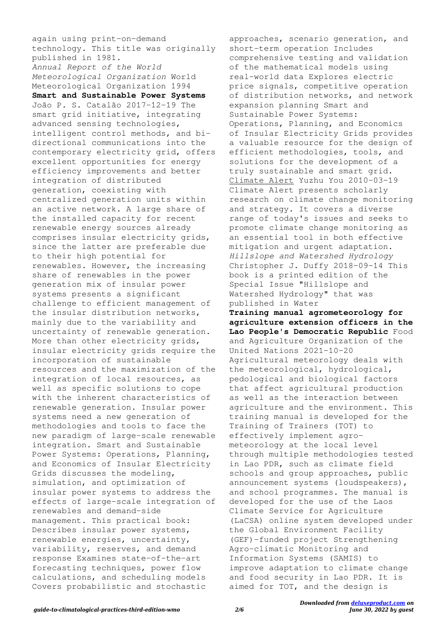again using print-on-demand technology. This title was originally published in 1981. *Annual Report of the World Meteorological Organization* World Meteorological Organization 1994 **Smart and Sustainable Power Systems** João P. S. Catalão 2017-12-19 The smart grid initiative, integrating advanced sensing technologies, intelligent control methods, and bidirectional communications into the contemporary electricity grid, offers excellent opportunities for energy efficiency improvements and better integration of distributed generation, coexisting with centralized generation units within an active network. A large share of the installed capacity for recent renewable energy sources already comprises insular electricity grids, since the latter are preferable due to their high potential for renewables. However, the increasing share of renewables in the power generation mix of insular power systems presents a significant challenge to efficient management of the insular distribution networks, mainly due to the variability and uncertainty of renewable generation. More than other electricity grids, insular electricity grids require the incorporation of sustainable resources and the maximization of the integration of local resources, as well as specific solutions to cope with the inherent characteristics of renewable generation. Insular power systems need a new generation of methodologies and tools to face the new paradigm of large-scale renewable integration. Smart and Sustainable Power Systems: Operations, Planning, and Economics of Insular Electricity Grids discusses the modeling, simulation, and optimization of insular power systems to address the effects of large-scale integration of renewables and demand-side management. This practical book: Describes insular power systems, renewable energies, uncertainty, variability, reserves, and demand response Examines state-of-the-art forecasting techniques, power flow calculations, and scheduling models Covers probabilistic and stochastic

approaches, scenario generation, and short-term operation Includes comprehensive testing and validation of the mathematical models using real-world data Explores electric price signals, competitive operation of distribution networks, and network expansion planning Smart and Sustainable Power Systems: Operations, Planning, and Economics of Insular Electricity Grids provides a valuable resource for the design of efficient methodologies, tools, and solutions for the development of a truly sustainable and smart grid. Climate Alert Yuzhu You 2010-03-19 Climate Alert presents scholarly research on climate change monitoring and strategy. It covers a diverse range of today's issues and seeks to promote climate change monitoring as an essential tool in both effective mitigation and urgent adaptation. *Hillslope and Watershed Hydrology* Christopher J. Duffy 2018-09-14 This book is a printed edition of the Special Issue "Hillslope and Watershed Hydrology" that was published in Water

**Training manual agrometeorology for agriculture extension officers in the Lao People's Democratic Republic** Food and Agriculture Organization of the United Nations 2021-10-20 Agricultural meteorology deals with the meteorological, hydrological, pedological and biological factors that affect agricultural production as well as the interaction between agriculture and the environment. This training manual is developed for the Training of Trainers (TOT) to effectively implement agrometeorology at the local level through multiple methodologies tested in Lao PDR, such as climate field schools and group approaches, public announcement systems (loudspeakers), and school programmes. The manual is developed for the use of the Laos Climate Service for Agriculture (LaCSA) online system developed under the Global Environment Facility (GEF)-funded project Strengthening Agro-climatic Monitoring and Information Systems (SAMIS) to improve adaptation to climate change and food security in Lao PDR. It is aimed for TOT, and the design is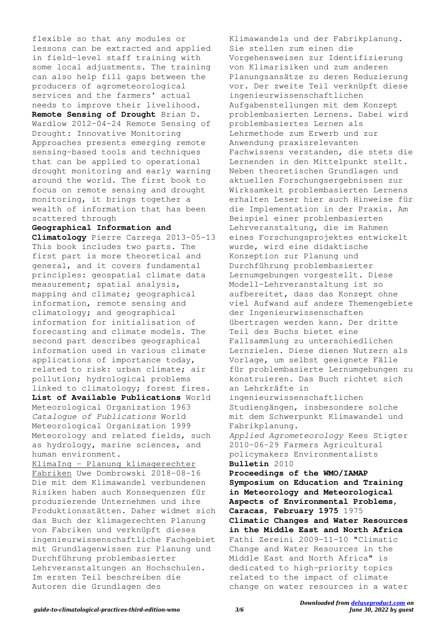flexible so that any modules or lessons can be extracted and applied in field-level staff training with some local adjustments. The training can also help fill gaps between the producers of agrometeorological services and the farmers' actual needs to improve their livelihood. **Remote Sensing of Drought** Brian D. Wardlow 2012-04-24 Remote Sensing of Drought: Innovative Monitoring Approaches presents emerging remote sensing-based tools and techniques that can be applied to operational drought monitoring and early warning around the world. The first book to focus on remote sensing and drought monitoring, it brings together a wealth of information that has been scattered through

#### **Geographical Information and**

**Climatology** Pierre Carrega 2013-05-13 This book includes two parts. The first part is more theoretical and general, and it covers fundamental principles: geospatial climate data measurement; spatial analysis, mapping and climate; geographical information, remote sensing and climatology; and geographical information for initialisation of forecasting and climate models. The second part describes geographical information used in various climate applications of importance today, related to risk: urban climate; air pollution; hydrological problems linked to climatology; forest fires. **List of Available Publications** World Meteorological Organization 1963 *Catalogue of Publications* World Meteorological Organization 1999

Meteorology and related fields, such as hydrology, marine sciences, and human environment. KlimaIng - Planung klimagerechter

Fabriken Uwe Dombrowski 2018-08-16 Die mit dem Klimawandel verbundenen Risiken haben auch Konsequenzen für produzierende Unternehmen und ihre Produktionsstätten. Daher widmet sich das Buch der klimagerechten Planung von Fabriken und verknüpft dieses ingenieurwissenschaftliche Fachgebiet mit Grundlagenwissen zur Planung und Durchführung problembasierter Lehrveranstaltungen an Hochschulen. Im ersten Teil beschreiben die Autoren die Grundlagen des

Klimawandels und der Fabrikplanung. Sie stellen zum einen die Vorgehensweisen zur Identifizierung von Klimarisiken und zum anderen Planungsansätze zu deren Reduzierung vor. Der zweite Teil verknüpft diese ingenieurwissenschaftlichen Aufgabenstellungen mit dem Konzept problembasierten Lernens. Dabei wird problembasiertes Lernen als Lehrmethode zum Erwerb und zur Anwendung praxisrelevanten Fachwissens verstanden, die stets die Lernenden in den Mittelpunkt stellt. Neben theoretischen Grundlagen und aktuellen Forschungsergebnissen zur Wirksamkeit problembasierten Lernens erhalten Leser hier auch Hinweise für die Implementation in der Praxis. Am Beispiel einer problembasierten Lehrveranstaltung, die im Rahmen eines Forschungsprojektes entwickelt wurde, wird eine didaktische Konzeption zur Planung und Durchführung problembasierter Lernumgebungen vorgestellt. Diese Modell-Lehrveranstaltung ist so aufbereitet, dass das Konzept ohne viel Aufwand auf andere Themengebiete der Ingenieurwissenschaften übertragen werden kann. Der dritte Teil des Buchs bietet eine Fallsammlung zu unterschiedlichen Lernzielen. Diese dienen Nutzern als Vorlage, um selbst geeignete Fälle für problembasierte Lernumgebungen zu konstruieren. Das Buch richtet sich an Lehrkräfte in ingenieurwissenschaftlichen Studiengängen, insbesondere solche mit dem Schwerpunkt Klimawandel und Fabrikplanung. *Applied Agrometeorology* Kees Stigter 2010-06-29 Farmers Agricultural policymakers Environmentalists

#### **Bulletin** 2010

**Proceedings of the WMO/IAMAP Symposium on Education and Training in Meteorology and Meteorological Aspects of Environmental Problems, Caracas, February 1975** 1975 **Climatic Changes and Water Resources in the Middle East and North Africa** Fathi Zereini 2009-11-10 "Climatic Change and Water Resources in the Middle East and North Africa" is dedicated to high-priority topics related to the impact of climate change on water resources in a water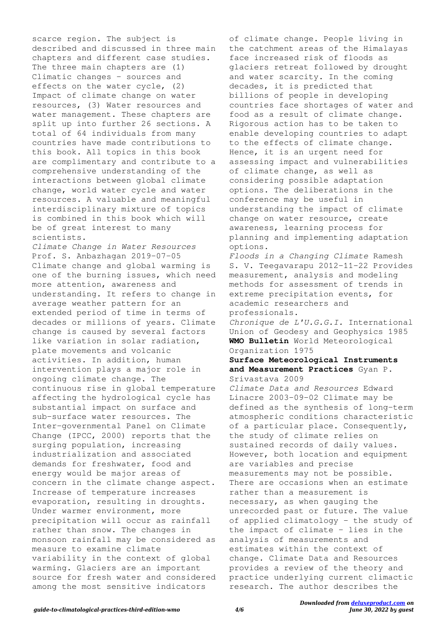scarce region. The subject is described and discussed in three main chapters and different case studies. The three main chapters are (1) Climatic changes - sources and effects on the water cycle, (2) Impact of climate change on water resources, (3) Water resources and water management. These chapters are split up into further 26 sections. A total of 64 individuals from many countries have made contributions to this book. All topics in this book are complimentary and contribute to a comprehensive understanding of the interactions between global climate change, world water cycle and water resources. A valuable and meaningful interdisciplinary mixture of topics is combined in this book which will be of great interest to many scientists.

*Climate Change in Water Resources* Prof. S. Anbazhagan 2019-07-05 Climate change and global warming is one of the burning issues, which need more attention, awareness and understanding. It refers to change in average weather pattern for an extended period of time in terms of decades or millions of years. Climate change is caused by several factors like variation in solar radiation, plate movements and volcanic activities. In addition, human intervention plays a major role in ongoing climate change. The continuous rise in global temperature affecting the hydrological cycle has substantial impact on surface and sub-surface water resources. The Inter-governmental Panel on Climate Change (IPCC, 2000) reports that the surging population, increasing industrialization and associated demands for freshwater, food and energy would be major areas of concern in the climate change aspect. Increase of temperature increases evaporation, resulting in droughts. Under warmer environment, more precipitation will occur as rainfall rather than snow. The changes in monsoon rainfall may be considered as measure to examine climate variability in the context of global warming. Glaciers are an important source for fresh water and considered among the most sensitive indicators

of climate change. People living in the catchment areas of the Himalayas face increased risk of floods as glaciers retreat followed by drought and water scarcity. In the coming decades, it is predicted that billions of people in developing countries face shortages of water and food as a result of climate change. Rigorous action has to be taken to enable developing countries to adapt to the effects of climate change. Hence, it is an urgent need for assessing impact and vulnerabilities of climate change, as well as considering possible adaptation options. The deliberations in the conference may be useful in understanding the impact of climate change on water resource, create awareness, learning process for planning and implementing adaptation options. *Floods in a Changing Climate* Ramesh

S. V. Teegavarapu 2012-11-22 Provides measurement, analysis and modeling methods for assessment of trends in extreme precipitation events, for academic researchers and professionals.

*Chronique de L'U.G.G.I.* International Union of Geodesy and Geophysics 1985 **WMO Bulletin** World Meteorological Organization 1975

#### **Surface Meteorological Instruments and Measurement Practices** Gyan P. Srivastava 2009

*Climate Data and Resources* Edward Linacre 2003-09-02 Climate may be defined as the synthesis of long-term atmospheric conditions characteristic of a particular place. Consequently, the study of climate relies on sustained records of daily values. However, both location and equipment are variables and precise measurements may not be possible. There are occasions when an estimate rather than a measurement is necessary, as when gauging the unrecorded past or future. The value of applied climatology - the study of the impact of climate - lies in the analysis of measurements and estimates within the context of change. Climate Data and Resources provides a review of the theory and practice underlying current climactic research. The author describes the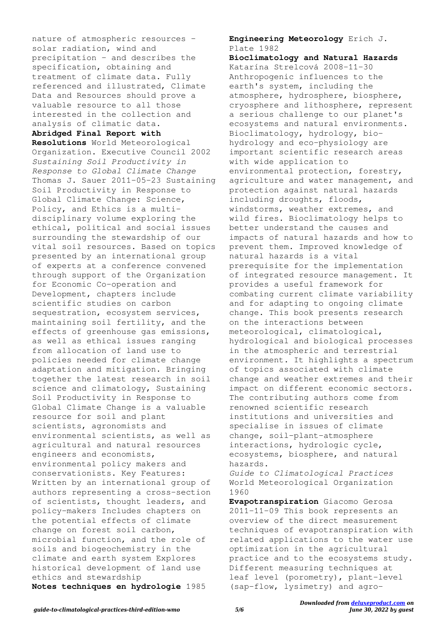nature of atmospheric resources solar radiation, wind and precipitation - and describes the specification, obtaining and treatment of climate data. Fully referenced and illustrated, Climate Data and Resources should prove a valuable resource to all those interested in the collection and analysis of climatic data.

## **Abridged Final Report with**

**Resolutions** World Meteorological Organization. Executive Council 2002 *Sustaining Soil Productivity in Response to Global Climate Change* Thomas J. Sauer 2011-05-23 Sustaining Soil Productivity in Response to Global Climate Change: Science, Policy, and Ethics is a multidisciplinary volume exploring the ethical, political and social issues surrounding the stewardship of our vital soil resources. Based on topics presented by an international group of experts at a conference convened through support of the Organization for Economic Co-operation and Development, chapters include scientific studies on carbon sequestration, ecosystem services, maintaining soil fertility, and the effects of greenhouse gas emissions, as well as ethical issues ranging from allocation of land use to policies needed for climate change adaptation and mitigation. Bringing together the latest research in soil science and climatology, Sustaining Soil Productivity in Response to Global Climate Change is a valuable resource for soil and plant scientists, agronomists and environmental scientists, as well as agricultural and natural resources engineers and economists, environmental policy makers and conservationists. Key Features: Written by an international group of authors representing a cross-section of scientists, thought leaders, and policy-makers Includes chapters on the potential effects of climate change on forest soil carbon, microbial function, and the role of soils and biogeochemistry in the climate and earth system Explores historical development of land use ethics and stewardship **Notes techniques en hydrologie** 1985

### **Engineering Meteorology** Erich J. Plate 1982

**Bioclimatology and Natural Hazards** Katarína Strelcová 2008-11-30 Anthropogenic influences to the earth's system, including the atmosphere, hydrosphere, biosphere, cryosphere and lithosphere, represent a serious challenge to our planet's ecosystems and natural environments. Bioclimatology, hydrology, biohydrology and eco-physiology are important scientific research areas with wide application to environmental protection, forestry, agriculture and water management, and protection against natural hazards including droughts, floods, windstorms, weather extremes, and wild fires. Bioclimatology helps to better understand the causes and impacts of natural hazards and how to prevent them. Improved knowledge of natural hazards is a vital prerequisite for the implementation of integrated resource management. It provides a useful framework for combating current climate variability and for adapting to ongoing climate change. This book presents research on the interactions between meteorological, climatological, hydrological and biological processes in the atmospheric and terrestrial environment. It highlights a spectrum of topics associated with climate change and weather extremes and their impact on different economic sectors. The contributing authors come from renowned scientific research institutions and universities and specialise in issues of climate change, soil-plant-atmosphere interactions, hydrologic cycle, ecosystems, biosphere, and natural hazards.

*Guide to Climatological Practices* World Meteorological Organization 1960

**Evapotranspiration** Giacomo Gerosa 2011-11-09 This book represents an overview of the direct measurement techniques of evapotranspiration with related applications to the water use optimization in the agricultural practice and to the ecosystems study. Different measuring techniques at leaf level (porometry), plant-level (sap-flow, lysimetry) and agro-